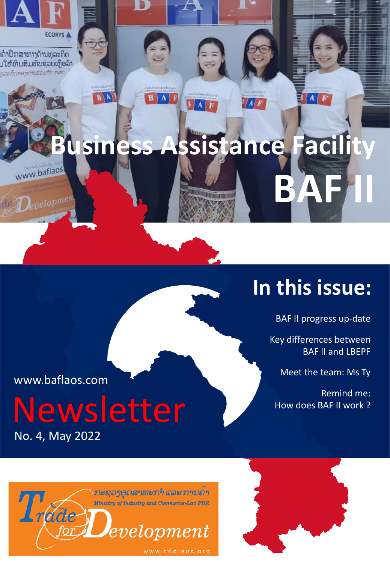

# **In this issue:**

BAF II progress up-date

Key differences between BAF II and LBEPF

Meet the team: Ms Ty

Remind me: How does BAF II work ?

www.baflaos.com

 $\bigcirc$ Developmen

No. 4, May 2022 Newsletter



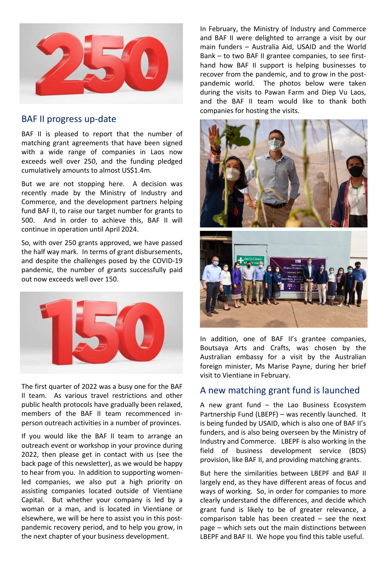

#### BAF II progress up-date

BAF II is pleased to report that the number of matching grant agreements that have been signed with a wide range of companies in Laos now exceeds well over 250, and the funding pledged cumulatively amounts to almost US\$1.4m.

But we are not stopping here. A decision was recently made by the Ministry of Industry and Commerce, and the development partners helping fund BAF II, to raise our target number for grants to 500. And in order to achieve this, BAF II will continue in operation until April 2024.

So, with over 250 grants approved, we have passed the half way mark. In terms of grant disbursements, and despite the challenges posed by the COVID-19 pandemic, the number of grants successfully paid out now exceeds well over 150.



The first quarter of 2022 was a busy one for the BAF II team. As various travel restrictions and other public health protocols have gradually been relaxed, members of the BAF II team recommenced inperson outreach activities in a number of provinces.

If you would like the BAF II team to arrange an outreach event or workshop in your province during 2022, then please get in contact with us (see the back page of this newsletter), as we would be happy to hear from you. In addition to supporting womenled companies, we also put a high priority on assisting companies located outside of Vientiane Capital. But whether your company is led by a woman or a man, and is located in Vientiane or elsewhere, we will be here to assist you in this postpandemic recovery period, and to help you grow, in the next chapter of your business development.

In February, the Ministry of Industry and Commerce and BAF II were delighted to arrange a visit by our main funders – Australia Aid, USAID and the World Bank – to two BAF II grantee companies, to see firsthand how BAF II support is helping businesses to recover from the pandemic, and to grow in the postpandemic world. The photos below were taken during the visits to Pawan Farm and Diep Vu Laos, and the BAF II team would like to thank both companies for hosting the visits.



In addition, one of BAF II's grantee companies, Boutsaya Arts and Crafts, was chosen by the Australian embassy for a visit by the Australian foreign minister, Ms Marise Payne, during her brief visit to Vientiane in February.

#### A new matching grant fund is launched

A new grant fund – the Lao Business Ecosystem Partnership Fund (LBEPF) – was recently launched. It is being funded by USAID, which is also one of BAF II's funders, and is also being overseen by the Ministry of Industry and Commerce. LBEPF is also working in the field of business development service (BDS) provision, like BAF II, and providing matching grants.

But here the similarities between LBEPF and BAF II largely end, as they have different areas of focus and ways of working. So, in order for companies to more clearly understand the differences, and decide which grant fund is likely to be of greater relevance, a comparison table has been created – see the next page – which sets out the main distinctions between LBEPF and BAF II. We hope you find this table useful.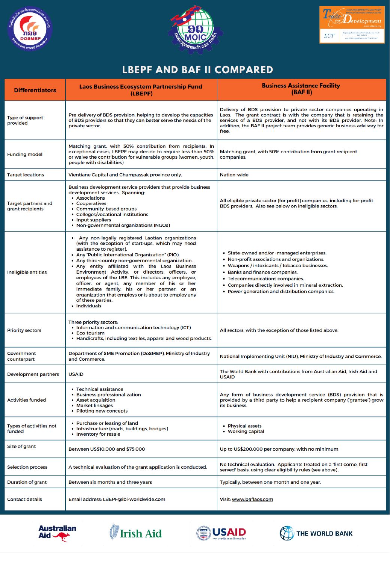





## **LBEPF AND BAF II COMPARED**

| <b>Differentiators</b>                         | <b>Laos Business Ecosystem Partnership Fund</b><br>(LBEPF)                                                                                                                                                                                                                                                                                                                                                                                                                                                                                                                                         | <b>Business Assistance Facility</b><br>(BAFII)                                                                                                                                                                                                                                                                             |
|------------------------------------------------|----------------------------------------------------------------------------------------------------------------------------------------------------------------------------------------------------------------------------------------------------------------------------------------------------------------------------------------------------------------------------------------------------------------------------------------------------------------------------------------------------------------------------------------------------------------------------------------------------|----------------------------------------------------------------------------------------------------------------------------------------------------------------------------------------------------------------------------------------------------------------------------------------------------------------------------|
| <b>Type of support</b><br>provided             | Pre-delivery of BDS provision: helping to develop the capacities<br>of BDS providers so that they can better serve the needs of the<br>private sector.                                                                                                                                                                                                                                                                                                                                                                                                                                             | Delivery of BDS provision to private sector companies operating in<br>Laos. The grant contract is with the company that is retaining the<br>services of a BDS provider, and not with its BDS provider. Note: In<br>addition, the BAF II project team provides generic business advisory for<br>free.                       |
| <b>Funding model</b>                           | Matching grant, with 50% contribution from recipients. In<br>exceptional cases, LBEPF may decide to require less than 50%<br>or waive the contribution for vulnerable groups (women, youth,<br>people with disabilities)                                                                                                                                                                                                                                                                                                                                                                           | Matching grant, with 50% contribution from grant recipient<br>companies.                                                                                                                                                                                                                                                   |
| <b>Target locations</b>                        | Vientiane Capital and Champassak province only.                                                                                                                                                                                                                                                                                                                                                                                                                                                                                                                                                    | <b>Nation-wide</b>                                                                                                                                                                                                                                                                                                         |
| <b>Target partners and</b><br>grant recipients | Business development service providers that provide business<br>development services. Spanning:<br>• Associations<br>• Cooperatives<br>• Community-based groups<br>• Colleges/vocational institutions<br>• Input suppliers<br>• Non-governmental organizations (NGOs)                                                                                                                                                                                                                                                                                                                              | All eligible private sector (for profit) companies, including for-profit<br>BDS providers. Also see below on ineligible sectors.                                                                                                                                                                                           |
| Ineligible entities                            | • Any non-legally registered Laotian organizations<br>(with the exception of start-ups, which may need<br>assistance to register).<br>• Any "Public International Organization" (PIO).<br>• Any third-country non-governmental organization.<br>. Any entity affiliated with the Laos Business<br>Environment Activity, or directors, officers, or<br>employees of the LBE. This includes any employee,<br>officer, or agent, any member of his or her<br>immediate family, his or her partner, or an<br>organization that employs or is about to employ any<br>of these parties.<br>• Individuals | • State-owned and/or -managed enterprises.<br>• Non-profit associations and organizations.<br>• Weapons / intoxicants / tobacco businesses.<br>• Banks and finance companies.<br>• Telecommunications companies.<br>• Companies directly involved in mineral extraction.<br>• Power generation and distribution companies. |
| <b>Priority sectors</b>                        | Three priority sectors:<br>• Information and communication technology (ICT)<br>• Eco-tourism<br>• Handicrafts, including textiles, apparel and wood products.                                                                                                                                                                                                                                                                                                                                                                                                                                      | All sectors, with the exception of those listed above.                                                                                                                                                                                                                                                                     |
| <b>Government</b><br>counterpart               | Department of SME Promotion (DoSMEP), Ministry of Industry<br>and Commerce.                                                                                                                                                                                                                                                                                                                                                                                                                                                                                                                        | National Implementing Unit (NIU), Ministry of Industry and Commerce.                                                                                                                                                                                                                                                       |
| <b>Development partners</b>                    | <b>USAID</b>                                                                                                                                                                                                                                                                                                                                                                                                                                                                                                                                                                                       | The World Bank with contributions from Australian Aid. Irish Aid and<br><b>USAID</b>                                                                                                                                                                                                                                       |
| <b>Activities funded</b>                       | • Technical assistance<br>• Business professionalization<br>• Asset acquisition<br>• Market linkages<br>• Piloting new concepts                                                                                                                                                                                                                                                                                                                                                                                                                                                                    | Any form of business development service (BDS) provision that is<br>provided by a third party to help a recipient company ('grantee') grow<br>its business.                                                                                                                                                                |
| <b>Types of activities not</b><br>funded       | • Purchase or leasing of land<br>• Infrastructure (roads, buildings, bridges)<br>• Inventory for resale                                                                                                                                                                                                                                                                                                                                                                                                                                                                                            | • Physical assets<br>• Working capital                                                                                                                                                                                                                                                                                     |
| Size of grant                                  | Between US\$10,000 and \$75,000                                                                                                                                                                                                                                                                                                                                                                                                                                                                                                                                                                    | Up to US\$200,000 per company, with no minimum                                                                                                                                                                                                                                                                             |
| <b>Selection process</b>                       | A technical evaluation of the grant application is conducted.                                                                                                                                                                                                                                                                                                                                                                                                                                                                                                                                      | No technical evaluation. Applicants treated on a 'first come, first<br>served' basis, using clear eligibility rules (see above).                                                                                                                                                                                           |
| Duration of grant                              | Between six months and three years                                                                                                                                                                                                                                                                                                                                                                                                                                                                                                                                                                 | Typically, between one month and one year.                                                                                                                                                                                                                                                                                 |
| <b>Contact details</b>                         | Email address: LBEPF@ibi-worldwide.com                                                                                                                                                                                                                                                                                                                                                                                                                                                                                                                                                             | Visit: www.baflaos.com                                                                                                                                                                                                                                                                                                     |